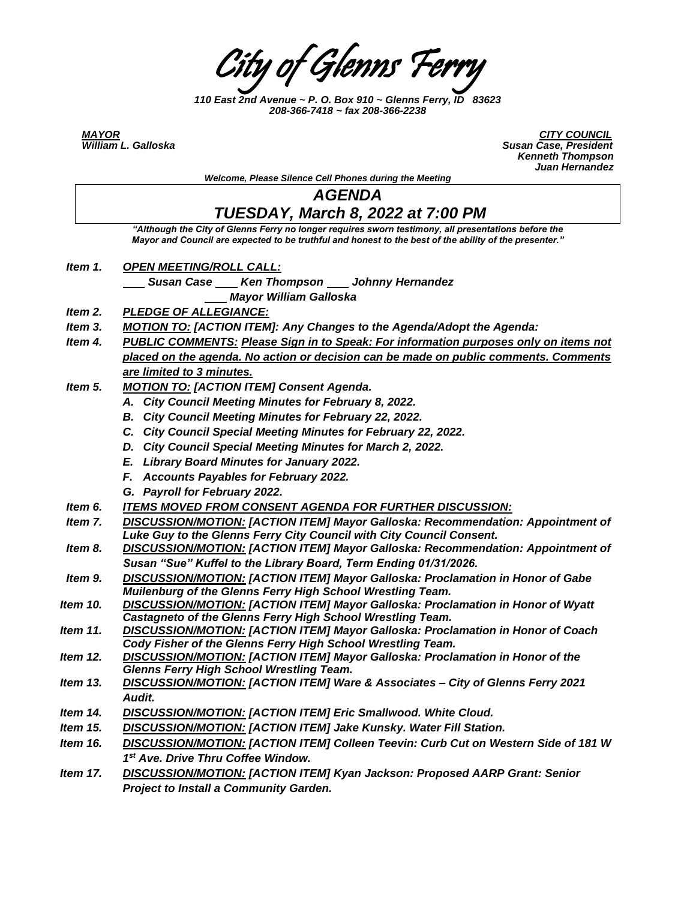City of Glenns Ferry

*110 East 2nd Avenue ~ P. O. Box 910 ~ Glenns Ferry, ID 83623 208-366-7418 ~ fax 208-366-2238*

*MAYOR CITY COUNCIL William L. Galloska Susan Case, President Kenneth Thompson Juan Hernandez*

*Welcome, Please Silence Cell Phones during the Meeting*

## *AGENDA*

## *TUESDAY, March 8, 2022 at 7:00 PM*

*"Although the City of Glenns Ferry no longer requires sworn testimony, all presentations before the Mayor and Council are expected to be truthful and honest to the best of the ability of the presenter."*

- *Item 1. OPEN MEETING/ROLL CALL:* 
	- *Susan Case Ken Thompson Johnny Hernandez*
	- *Mayor William Galloska*
- *Item 2. PLEDGE OF ALLEGIANCE:*
- *Item 3. MOTION TO: [ACTION ITEM]: Any Changes to the Agenda/Adopt the Agenda:*
- *Item 4. PUBLIC COMMENTS: Please Sign in to Speak: For information purposes only on items not placed on the agenda. No action or decision can be made on public comments. Comments are limited to 3 minutes.*
- *Item 5. MOTION TO: [ACTION ITEM] Consent Agenda.* 
	- *A. City Council Meeting Minutes for February 8, 2022.*
	- *B. City Council Meeting Minutes for February 22, 2022.*
	- *C. City Council Special Meeting Minutes for February 22, 2022.*
	- *D. City Council Special Meeting Minutes for March 2, 2022.*
	- *E. Library Board Minutes for January 2022.*
	- *F. Accounts Payables for February 2022.*
	- *G. Payroll for February 2022.*
- *Item 6. ITEMS MOVED FROM CONSENT AGENDA FOR FURTHER DISCUSSION:*
- *Item 7. DISCUSSION/MOTION: [ACTION ITEM] Mayor Galloska: Recommendation: Appointment of Luke Guy to the Glenns Ferry City Council with City Council Consent.*
- *Item 8. DISCUSSION/MOTION: [ACTION ITEM] Mayor Galloska: Recommendation: Appointment of* Susan "Sue" Kuffel to the Library Board, Term Ending 01/31/2026.
- *Item 9. DISCUSSION/MOTION: [ACTION ITEM] Mayor Galloska: Proclamation in Honor of Gabe Muilenburg of the Glenns Ferry High School Wrestling Team.*
- *Item 10. DISCUSSION/MOTION: [ACTION ITEM] Mayor Galloska: Proclamation in Honor of Wyatt Castagneto of the Glenns Ferry High School Wrestling Team.*
- *Item 11. DISCUSSION/MOTION: [ACTION ITEM] Mayor Galloska: Proclamation in Honor of Coach Cody Fisher of the Glenns Ferry High School Wrestling Team.*
- *Item 12. DISCUSSION/MOTION: [ACTION ITEM] Mayor Galloska: Proclamation in Honor of the Glenns Ferry High School Wrestling Team.*
- *Item 13. DISCUSSION/MOTION: [ACTION ITEM] Ware & Associates – City of Glenns Ferry 2021 Audit.*
- *Item 14. DISCUSSION/MOTION: [ACTION ITEM] Eric Smallwood. White Cloud.*
- *Item 15. DISCUSSION/MOTION: [ACTION ITEM] Jake Kunsky. Water Fill Station.*
- *Item 16. DISCUSSION/MOTION: [ACTION ITEM] Colleen Teevin: Curb Cut on Western Side of 181 W 1 st Ave. Drive Thru Coffee Window.*
- *Item 17. DISCUSSION/MOTION: [ACTION ITEM] Kyan Jackson: Proposed AARP Grant: Senior Project to Install a Community Garden.*